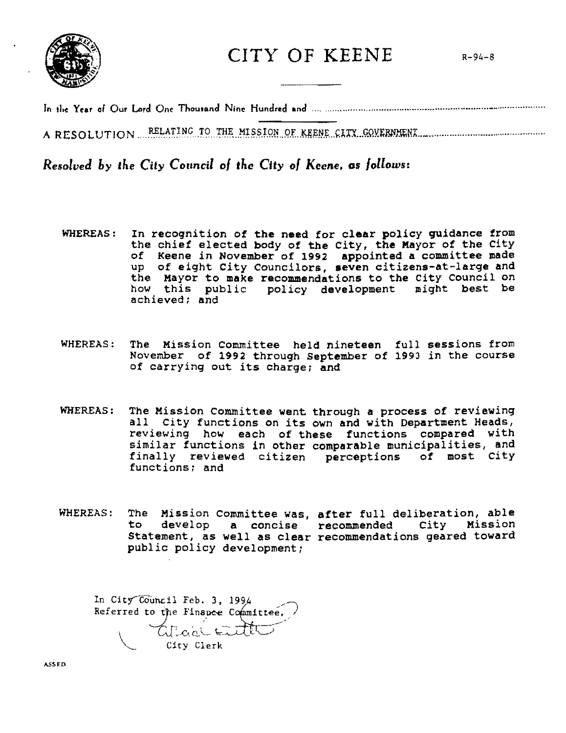

 $CITY$  OF KEENE  $R-94-8$ 

A RESOLUTION RELATING TO THE MISSION OF KEENE CITY GOVERNMENT

Resolved by the City Council of the City of Keene, as follows:

- In recognition of the need for clear policy guidance from<br>the chief elected body of the City, the Mayor of the City WHEREAS: of Keene in November of 1992 appointed a committee made<br>up of eight City Councilors, seven citizens-at-large and the Mayor to make recommendations to the City Council on how this public policy development might best be achieved: and
- WHEREAS: The Mission Committee held nineteen full sessions from November of 1992 through September of 1993 in the course of carrying out its charge; and
- WHEREAS: The Mission Committee went through a process of reviewing all City functions on its own and with Department Heads, reviewing how each of these functions compared with<br>similar functions in other comparable municipalities, and finally reviewed citizen perceptions of most City functions: and
- WHEREAS: The Mission Committee was, after full deliberation, able to develop a concise recommended City Mission Statement, as well as clear recommendations geared toward public policy development;

In City Council Feb. 3, 1994 Referred to the Finance Committee. atical Eut  $\begin{array}{ccc} \begin{array}{ccc} \text{1} & \text{1} & \text{1} & \text{1} & \text{1} & \text{1} & \text{1} & \text{1} & \text{1} & \text{1} & \text{1} & \text{1} & \text{1} & \text{1} & \text{1} & \text{1} & \text{1} & \text{1} & \text{1} & \text{1} & \text{1} & \text{1} & \text{1} & \text{1} & \text{1} & \text{1} & \text{1} & \text{1} & \text{1} & \text{1} & \text{1} & \text{1} & \text{1} & \text{1} & \text$ City Clerk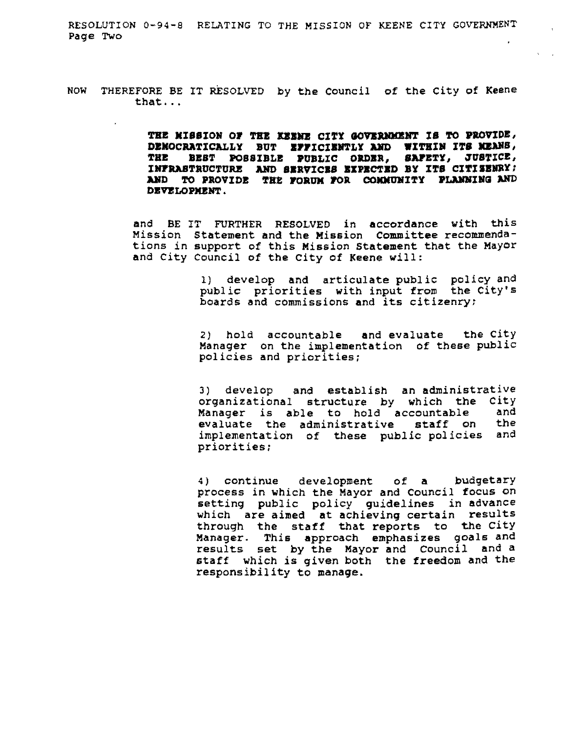RESOLUTION 0-94-8 RELATING TO THE MISSION OF KEENE CITY GOVERNMENT Page Two

NOW THEREFORE BE IT RESOLVED by the Council of the City of Keene that ...

> **THE KISSION OP 'l'KB DID CITY GO'lBRIDOIJIT IS TO PJIOVIDE, DEMOCRATICALLY BUT EFFICIENTLY AND WITHIN ITS MEANS,** THE BEST POSSIBLE PUBLIC ORDER. SAFETY, JUSTICE, **INFRASTRUCTURE AND SERVICES EXPECTED BY ITS CITISENRY: AND TO PROVIDE THE FORUM FOR COMMUNITY PLANNING AND DEVELOPMENT.**

and BE IT FURTHER RESOLVED in accordance with this Mission Statement and the Mission committee recommendations in support of this Mission statement that the Mayor and City Council of the City of Keene will:

> 1) develop and articulate public policy and public priorities with input from the City's boards and commissions and its citizenry;

> 2) hold accountable and evaluate the City Manager on the implementation of these public policies and priorities;

> 3) develop and establish an administrative organizational structure by which the City<br>Manager is able to bold accountable and Manager is able to hold accountable evaluate the administrative staff on the implementation of these public policies and priorities;

> 4) continue development of a budgetary process in Which the Mayor and Council focus on setting public policy guidelines in advance which are aimed at achieving certain results through the staff that reports to the city Manager. This approach emphasizes goals and results set by the Mayor and Council and a staff which is given both the freedom and the responsibility to manage.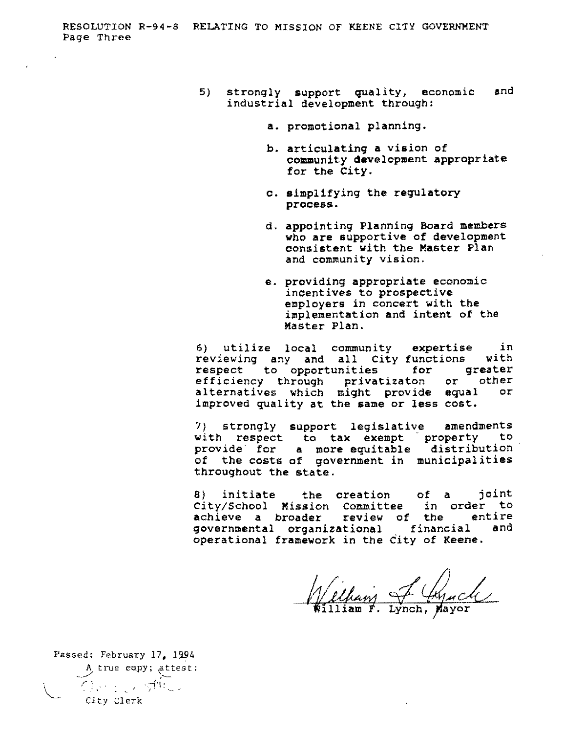- 5) strongly support quality, economic and industrial development through:
	- a. promotional planning.
	- b. articulating a vision of community development appropriate for the City.
	- c. simplifying the regulatory process.
	- d. appointing Planning Board members who are supportive of development consistent with the Master Plan and community vision.
	- e. providing appropriate economic incentives to prospective employers in concert with the implementation and intent of the Master Plan.

6) utilize local community expertise in reviewing any and all City functions with respect to opportunities for greater efficiency through privatizaton or other alternatives which might provide equal or improved quality at the same or less cost.

7) strongly support legislative amendments with respect to tax exempt property to provide for a more equitable distribution of the costs of government in municipalities throughout the state.

8) initiate the creation of a joint city/School Mission committee in order to achieve a broader review of the entire governmental organizational financial and operational framework in the City of Keene.

William of Cynch

Passed: February 17, 1994 A true eapy; attest:  $\rightarrow$  tive capy, all *r:* . . *-.-1'\* <sup>~</sup>" , J ' City Clerk